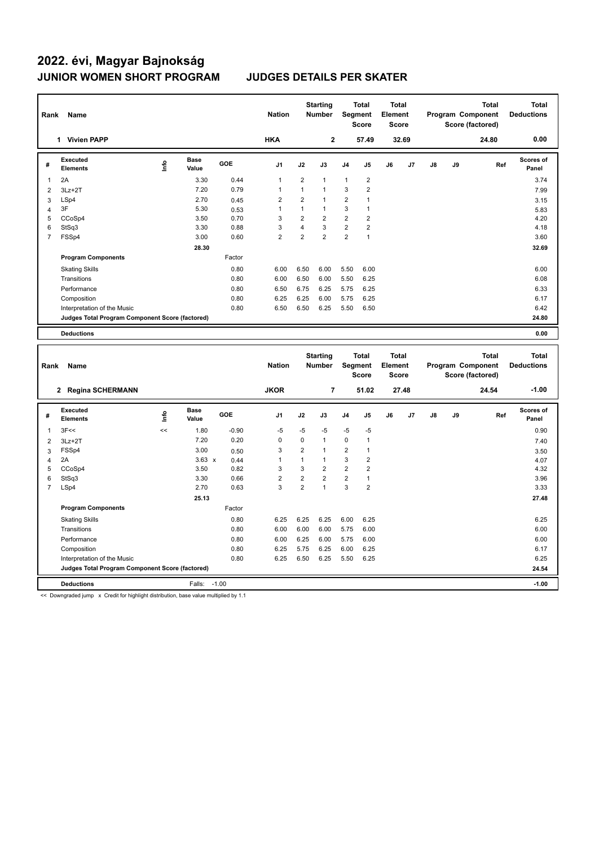| Rank | Name                                            |      |                      |        | <b>Nation</b>  |                | <b>Starting</b><br><b>Number</b> |                | <b>Total</b><br>Segment<br><b>Score</b> | Total<br>Element<br>Score |       |               |    | <b>Total</b><br>Program Component<br>Score (factored) | Total<br><b>Deductions</b> |
|------|-------------------------------------------------|------|----------------------|--------|----------------|----------------|----------------------------------|----------------|-----------------------------------------|---------------------------|-------|---------------|----|-------------------------------------------------------|----------------------------|
|      | <b>Vivien PAPP</b><br>$\mathbf 1$               |      |                      |        | <b>HKA</b>     |                | $\mathbf{2}$                     |                | 57.49                                   |                           | 32.69 |               |    | 24.80                                                 | 0.00                       |
| #    | Executed<br><b>Elements</b>                     | ۱nfo | <b>Base</b><br>Value | GOE    | J <sub>1</sub> | J2             | J3                               | J <sub>4</sub> | J <sub>5</sub>                          | J6                        | J7    | $\mathsf{J}8$ | J9 | Ref                                                   | Scores of<br>Panel         |
|      | 2A                                              |      | 3.30                 | 0.44   | $\mathbf{1}$   | $\overline{2}$ | $\mathbf{1}$                     | $\mathbf{1}$   | $\overline{2}$                          |                           |       |               |    |                                                       | 3.74                       |
| 2    | $3Lz + 2T$                                      |      | 7.20                 | 0.79   | 1              | 1              | $\mathbf{1}$                     | 3              | 2                                       |                           |       |               |    |                                                       | 7.99                       |
| 3    | LSp4                                            |      | 2.70                 | 0.45   | $\overline{2}$ | $\overline{2}$ | $\mathbf{1}$                     | $\overline{2}$ | 1                                       |                           |       |               |    |                                                       | 3.15                       |
| 4    | 3F                                              |      | 5.30                 | 0.53   | 1              | 1              | $\mathbf{1}$                     | 3              | $\overline{1}$                          |                           |       |               |    |                                                       | 5.83                       |
| 5    | CCoSp4                                          |      | 3.50                 | 0.70   | 3              | 2              | $\overline{2}$                   | $\overline{2}$ | 2                                       |                           |       |               |    |                                                       | 4.20                       |
| 6    | StSq3                                           |      | 3.30                 | 0.88   | 3              | 4              | 3                                | $\overline{2}$ | 2                                       |                           |       |               |    |                                                       | 4.18                       |
| 7    | FSSp4                                           |      | 3.00                 | 0.60   | $\overline{2}$ | $\overline{2}$ | $\overline{2}$                   | $\overline{2}$ | 1                                       |                           |       |               |    |                                                       | 3.60                       |
|      |                                                 |      | 28.30                |        |                |                |                                  |                |                                         |                           |       |               |    |                                                       | 32.69                      |
|      | <b>Program Components</b>                       |      |                      | Factor |                |                |                                  |                |                                         |                           |       |               |    |                                                       |                            |
|      | <b>Skating Skills</b>                           |      |                      | 0.80   | 6.00           | 6.50           | 6.00                             | 5.50           | 6.00                                    |                           |       |               |    |                                                       | 6.00                       |
|      | Transitions                                     |      |                      | 0.80   | 6.00           | 6.50           | 6.00                             | 5.50           | 6.25                                    |                           |       |               |    |                                                       | 6.08                       |
|      | Performance                                     |      |                      | 0.80   | 6.50           | 6.75           | 6.25                             | 5.75           | 6.25                                    |                           |       |               |    |                                                       | 6.33                       |
|      | Composition                                     |      |                      | 0.80   | 6.25           | 6.25           | 6.00                             | 5.75           | 6.25                                    |                           |       |               |    |                                                       | 6.17                       |
|      | Interpretation of the Music                     |      |                      | 0.80   | 6.50           | 6.50           | 6.25                             | 5.50           | 6.50                                    |                           |       |               |    |                                                       | 6.42                       |
|      | Judges Total Program Component Score (factored) |      |                      |        |                |                |                                  |                |                                         |                           |       |               |    |                                                       | 24.80                      |
|      | <b>Deductions</b>                               |      |                      |        |                |                |                                  |                |                                         |                           |       |               |    |                                                       | 0.00                       |

| Rank           | Name                                            |      |                      |            | <b>Nation</b>  |                | <b>Starting</b><br><b>Number</b> | Segment        | <b>Total</b><br><b>Score</b> | Total<br>Element<br><b>Score</b> |       |    |    | <b>Total</b><br>Program Component<br>Score (factored) | <b>Total</b><br><b>Deductions</b> |
|----------------|-------------------------------------------------|------|----------------------|------------|----------------|----------------|----------------------------------|----------------|------------------------------|----------------------------------|-------|----|----|-------------------------------------------------------|-----------------------------------|
|                | 2 Regina SCHERMANN                              |      |                      |            | <b>JKOR</b>    |                | $\overline{7}$                   |                | 51.02                        |                                  | 27.48 |    |    | 24.54                                                 | $-1.00$                           |
| #              | Executed<br><b>Elements</b>                     | lnfo | <b>Base</b><br>Value | <b>GOE</b> | J <sub>1</sub> | J2             | J3                               | J <sub>4</sub> | J <sub>5</sub>               | J6                               | J7    | J8 | J9 | Ref                                                   | Scores of<br>Panel                |
| 1              | 3F<<                                            | <<   | 1.80                 | $-0.90$    | $-5$           | $-5$           | -5                               | $-5$           | $-5$                         |                                  |       |    |    |                                                       | 0.90                              |
| 2              | $3Lz + 2T$                                      |      | 7.20                 | 0.20       | 0              | 0              | $\mathbf{1}$                     | $\mathbf 0$    | 1                            |                                  |       |    |    |                                                       | 7.40                              |
| 3              | FSSp4                                           |      | 3.00                 | 0.50       | 3              | $\overline{2}$ | $\overline{1}$                   | 2              | 1                            |                                  |       |    |    |                                                       | 3.50                              |
| 4              | 2A                                              |      | $3.63 \times$        | 0.44       | 1              | 1              | $\mathbf{1}$                     | 3              | $\overline{2}$               |                                  |       |    |    |                                                       | 4.07                              |
| 5              | CCoSp4                                          |      | 3.50                 | 0.82       | 3              | 3              | $\overline{2}$                   | $\overline{2}$ | $\overline{2}$               |                                  |       |    |    |                                                       | 4.32                              |
| 6              | StSq3                                           |      | 3.30                 | 0.66       | $\overline{2}$ | $\overline{2}$ | $\overline{2}$                   | $\overline{2}$ | 1                            |                                  |       |    |    |                                                       | 3.96                              |
| $\overline{7}$ | LSp4                                            |      | 2.70                 | 0.63       | 3              | $\overline{2}$ | $\overline{1}$                   | 3              | $\overline{2}$               |                                  |       |    |    |                                                       | 3.33                              |
|                |                                                 |      | 25.13                |            |                |                |                                  |                |                              |                                  |       |    |    |                                                       | 27.48                             |
|                | <b>Program Components</b>                       |      |                      | Factor     |                |                |                                  |                |                              |                                  |       |    |    |                                                       |                                   |
|                | <b>Skating Skills</b>                           |      |                      | 0.80       | 6.25           | 6.25           | 6.25                             | 6.00           | 6.25                         |                                  |       |    |    |                                                       | 6.25                              |
|                | Transitions                                     |      |                      | 0.80       | 6.00           | 6.00           | 6.00                             | 5.75           | 6.00                         |                                  |       |    |    |                                                       | 6.00                              |
|                | Performance                                     |      |                      | 0.80       | 6.00           | 6.25           | 6.00                             | 5.75           | 6.00                         |                                  |       |    |    |                                                       | 6.00                              |
|                | Composition                                     |      |                      | 0.80       | 6.25           | 5.75           | 6.25                             | 6.00           | 6.25                         |                                  |       |    |    |                                                       | 6.17                              |
|                | Interpretation of the Music                     |      |                      | 0.80       | 6.25           | 6.50           | 6.25                             | 5.50           | 6.25                         |                                  |       |    |    |                                                       | 6.25                              |
|                | Judges Total Program Component Score (factored) |      |                      |            |                |                |                                  |                |                              |                                  |       |    |    |                                                       | 24.54                             |
|                | <b>Deductions</b>                               |      | Falls:               | $-1.00$    |                |                |                                  |                |                              |                                  |       |    |    |                                                       | $-1.00$                           |

<< Downgraded jump x Credit for highlight distribution, base value multiplied by 1.1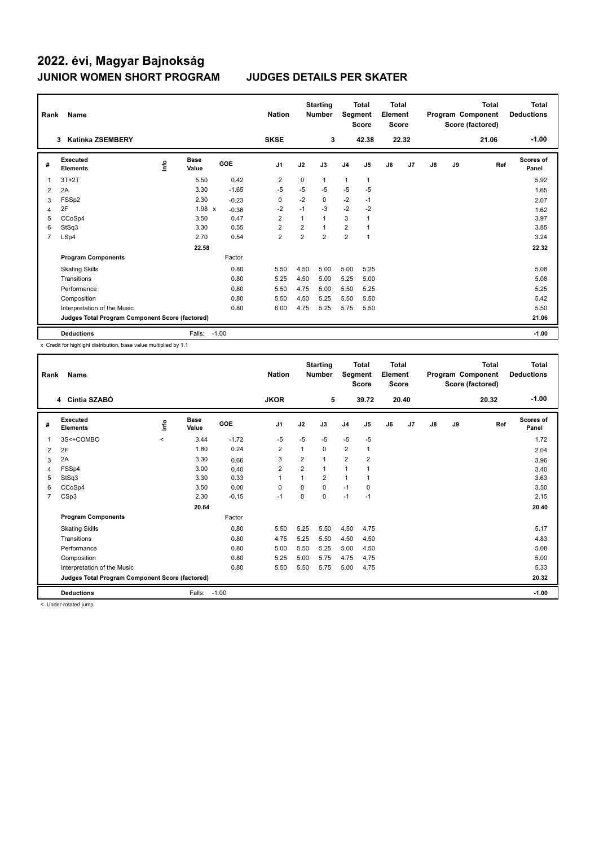| Rank | Name                                            |      |                      |            | <b>Nation</b>  |                | <b>Starting</b><br><b>Number</b> | Segment        | <b>Total</b><br><b>Score</b> | Total<br>Element<br><b>Score</b> |                |               |    | <b>Total</b><br>Program Component<br>Score (factored) | <b>Total</b><br><b>Deductions</b> |
|------|-------------------------------------------------|------|----------------------|------------|----------------|----------------|----------------------------------|----------------|------------------------------|----------------------------------|----------------|---------------|----|-------------------------------------------------------|-----------------------------------|
|      | <b>Katinka ZSEMBERY</b><br>3                    |      |                      |            | <b>SKSE</b>    |                | 3                                |                | 42.38                        |                                  | 22.32          |               |    | 21.06                                                 | $-1.00$                           |
| #    | <b>Executed</b><br><b>Elements</b>              | Info | <b>Base</b><br>Value | <b>GOE</b> | J <sub>1</sub> | J2             | J3                               | J <sub>4</sub> | J <sub>5</sub>               | J6                               | J <sub>7</sub> | $\mathsf{J}8$ | J9 | Ref                                                   | <b>Scores of</b><br>Panel         |
| 1    | $3T+2T$                                         |      | 5.50                 | 0.42       | $\overline{2}$ | $\mathbf 0$    | 1                                | $\mathbf{1}$   | 1                            |                                  |                |               |    |                                                       | 5.92                              |
| 2    | 2A                                              |      | 3.30                 | $-1.65$    | $-5$           | $-5$           | $-5$                             | $-5$           | $-5$                         |                                  |                |               |    |                                                       | 1.65                              |
| 3    | FSSp2                                           |      | 2.30                 | $-0.23$    | 0              | $-2$           | 0                                | $-2$           | $-1$                         |                                  |                |               |    |                                                       | 2.07                              |
| 4    | 2F                                              |      | 1.98 x               | $-0.36$    | $-2$           | $-1$           | $-3$                             | $-2$           | $-2$                         |                                  |                |               |    |                                                       | 1.62                              |
| 5    | CCoSp4                                          |      | 3.50                 | 0.47       | $\overline{2}$ | $\overline{1}$ | $\mathbf{1}$                     | 3              | 1                            |                                  |                |               |    |                                                       | 3.97                              |
| 6    | StSq3                                           |      | 3.30                 | 0.55       | $\overline{2}$ | $\overline{2}$ | $\mathbf{1}$                     | $\overline{2}$ | 1                            |                                  |                |               |    |                                                       | 3.85                              |
| 7    | LSp4                                            |      | 2.70                 | 0.54       | $\overline{2}$ | 2              | $\overline{2}$                   | $\overline{2}$ | $\mathbf{1}$                 |                                  |                |               |    |                                                       | 3.24                              |
|      |                                                 |      | 22.58                |            |                |                |                                  |                |                              |                                  |                |               |    |                                                       | 22.32                             |
|      | <b>Program Components</b>                       |      |                      | Factor     |                |                |                                  |                |                              |                                  |                |               |    |                                                       |                                   |
|      | <b>Skating Skills</b>                           |      |                      | 0.80       | 5.50           | 4.50           | 5.00                             | 5.00           | 5.25                         |                                  |                |               |    |                                                       | 5.08                              |
|      | Transitions                                     |      |                      | 0.80       | 5.25           | 4.50           | 5.00                             | 5.25           | 5.00                         |                                  |                |               |    |                                                       | 5.08                              |
|      | Performance                                     |      |                      | 0.80       | 5.50           | 4.75           | 5.00                             | 5.50           | 5.25                         |                                  |                |               |    |                                                       | 5.25                              |
|      | Composition                                     |      |                      | 0.80       | 5.50           | 4.50           | 5.25                             | 5.50           | 5.50                         |                                  |                |               |    |                                                       | 5.42                              |
|      | Interpretation of the Music                     |      |                      | 0.80       | 6.00           | 4.75           | 5.25                             | 5.75           | 5.50                         |                                  |                |               |    |                                                       | 5.50                              |
|      | Judges Total Program Component Score (factored) |      |                      |            |                |                |                                  |                |                              |                                  |                |               |    |                                                       | 21.06                             |
|      | <b>Deductions</b>                               |      | Falls:               | $-1.00$    |                |                |                                  |                |                              |                                  |                |               |    |                                                       | $-1.00$                           |

x Credit for highlight distribution, base value multiplied by 1.1

| Rank           | Name                                            |         |                      |         | <b>Nation</b>  |                | <b>Starting</b><br><b>Number</b> | Segment        | Total<br><b>Score</b> | Total<br>Element<br><b>Score</b> |       |    |    | Total<br>Program Component<br>Score (factored) | Total<br><b>Deductions</b> |
|----------------|-------------------------------------------------|---------|----------------------|---------|----------------|----------------|----------------------------------|----------------|-----------------------|----------------------------------|-------|----|----|------------------------------------------------|----------------------------|
|                | 4 Cintia SZABÓ                                  |         |                      |         | <b>JKOR</b>    |                | 5                                |                | 39.72                 |                                  | 20.40 |    |    | 20.32                                          | $-1.00$                    |
| #              | Executed<br><b>Elements</b>                     | lnfo    | <b>Base</b><br>Value | GOE     | J <sub>1</sub> | J2             | J3                               | J <sub>4</sub> | J5                    | J6                               | J7    | J8 | J9 | Ref                                            | Scores of<br>Panel         |
|                | 3S<+COMBO                                       | $\prec$ | 3.44                 | $-1.72$ | $-5$           | $-5$           | $-5$                             | $-5$           | $-5$                  |                                  |       |    |    |                                                | 1.72                       |
| $\overline{2}$ | 2F                                              |         | 1.80                 | 0.24    | $\overline{2}$ | 1              | 0                                | $\overline{2}$ | 1                     |                                  |       |    |    |                                                | 2.04                       |
| 3              | 2A                                              |         | 3.30                 | 0.66    | 3              | 2              | 1                                | $\overline{2}$ | 2                     |                                  |       |    |    |                                                | 3.96                       |
| 4              | FSSp4                                           |         | 3.00                 | 0.40    | $\overline{2}$ | $\overline{2}$ | 1                                | $\overline{1}$ |                       |                                  |       |    |    |                                                | 3.40                       |
| 5              | StSq3                                           |         | 3.30                 | 0.33    | $\mathbf{1}$   | 1              | $\overline{2}$                   | $\overline{1}$ |                       |                                  |       |    |    |                                                | 3.63                       |
| 6              | CCoSp4                                          |         | 3.50                 | 0.00    | 0              | $\Omega$       | 0                                | $-1$           | 0                     |                                  |       |    |    |                                                | 3.50                       |
| $\overline{7}$ | CSp3                                            |         | 2.30                 | $-0.15$ | $-1$           | 0              | $\Omega$                         | $-1$           | $-1$                  |                                  |       |    |    |                                                | 2.15                       |
|                |                                                 |         | 20.64                |         |                |                |                                  |                |                       |                                  |       |    |    |                                                | 20.40                      |
|                | <b>Program Components</b>                       |         |                      | Factor  |                |                |                                  |                |                       |                                  |       |    |    |                                                |                            |
|                | <b>Skating Skills</b>                           |         |                      | 0.80    | 5.50           | 5.25           | 5.50                             | 4.50           | 4.75                  |                                  |       |    |    |                                                | 5.17                       |
|                | Transitions                                     |         |                      | 0.80    | 4.75           | 5.25           | 5.50                             | 4.50           | 4.50                  |                                  |       |    |    |                                                | 4.83                       |
|                | Performance                                     |         |                      | 0.80    | 5.00           | 5.50           | 5.25                             | 5.00           | 4.50                  |                                  |       |    |    |                                                | 5.08                       |
|                | Composition                                     |         |                      | 0.80    | 5.25           | 5.00           | 5.75                             | 4.75           | 4.75                  |                                  |       |    |    |                                                | 5.00                       |
|                | Interpretation of the Music                     |         |                      | 0.80    | 5.50           | 5.50           | 5.75                             | 5.00           | 4.75                  |                                  |       |    |    |                                                | 5.33                       |
|                | Judges Total Program Component Score (factored) |         |                      |         |                |                |                                  |                |                       |                                  |       |    |    |                                                | 20.32                      |
|                | <b>Deductions</b>                               |         | Falls:               | $-1.00$ |                |                |                                  |                |                       |                                  |       |    |    |                                                | $-1.00$                    |

< Under-rotated jump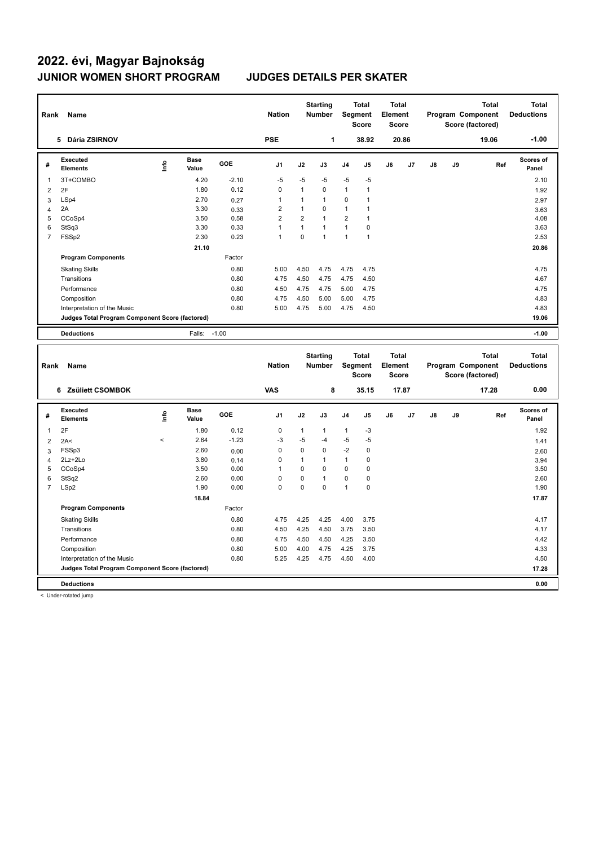| Rank           | Name                                            |             |                      |         | <b>Nation</b>  |                | <b>Starting</b><br><b>Number</b> | Segment        | <b>Total</b><br><b>Score</b> | <b>Total</b><br>Element<br><b>Score</b> |       |               |    | <b>Total</b><br>Program Component<br>Score (factored) | <b>Total</b><br><b>Deductions</b> |
|----------------|-------------------------------------------------|-------------|----------------------|---------|----------------|----------------|----------------------------------|----------------|------------------------------|-----------------------------------------|-------|---------------|----|-------------------------------------------------------|-----------------------------------|
|                | Dária ZSIRNOV<br>5.                             |             |                      |         | <b>PSE</b>     |                | 1                                |                | 38.92                        |                                         | 20.86 |               |    | 19.06                                                 | $-1.00$                           |
| #              | Executed<br><b>Elements</b>                     | <u>info</u> | <b>Base</b><br>Value | GOE     | J <sub>1</sub> | J2             | J3                               | J <sub>4</sub> | J <sub>5</sub>               | J6                                      | J7    | $\mathsf{J}8$ | J9 | Ref                                                   | Scores of<br>Panel                |
|                | 3T+COMBO                                        |             | 4.20                 | $-2.10$ | $-5$           | $-5$           | $-5$                             | $-5$           | $-5$                         |                                         |       |               |    |                                                       | 2.10                              |
| $\overline{2}$ | 2F                                              |             | 1.80                 | 0.12    | 0              | $\mathbf{1}$   | 0                                | $\mathbf{1}$   | $\overline{1}$               |                                         |       |               |    |                                                       | 1.92                              |
| 3              | LSp4                                            |             | 2.70                 | 0.27    | 1              | 1              | $\mathbf{1}$                     | 0              | $\overline{1}$               |                                         |       |               |    |                                                       | 2.97                              |
| 4              | 2A                                              |             | 3.30                 | 0.33    | 2              | 1              | 0                                | $\mathbf{1}$   |                              |                                         |       |               |    |                                                       | 3.63                              |
| 5              | CCoSp4                                          |             | 3.50                 | 0.58    | $\overline{2}$ | $\overline{2}$ | $\mathbf{1}$                     | $\overline{2}$ | $\overline{1}$               |                                         |       |               |    |                                                       | 4.08                              |
| 6              | StSq3                                           |             | 3.30                 | 0.33    | 1              | $\overline{1}$ | $\mathbf{1}$                     | $\mathbf{1}$   | 0                            |                                         |       |               |    |                                                       | 3.63                              |
| 7              | FSSp2                                           |             | 2.30                 | 0.23    | 1              | $\Omega$       | $\overline{1}$                   | $\overline{1}$ | $\overline{1}$               |                                         |       |               |    |                                                       | 2.53                              |
|                |                                                 |             | 21.10                |         |                |                |                                  |                |                              |                                         |       |               |    |                                                       | 20.86                             |
|                | <b>Program Components</b>                       |             |                      | Factor  |                |                |                                  |                |                              |                                         |       |               |    |                                                       |                                   |
|                | <b>Skating Skills</b>                           |             |                      | 0.80    | 5.00           | 4.50           | 4.75                             | 4.75           | 4.75                         |                                         |       |               |    |                                                       | 4.75                              |
|                | Transitions                                     |             |                      | 0.80    | 4.75           | 4.50           | 4.75                             | 4.75           | 4.50                         |                                         |       |               |    |                                                       | 4.67                              |
|                | Performance                                     |             |                      | 0.80    | 4.50           | 4.75           | 4.75                             | 5.00           | 4.75                         |                                         |       |               |    |                                                       | 4.75                              |
|                | Composition                                     |             |                      | 0.80    | 4.75           | 4.50           | 5.00                             | 5.00           | 4.75                         |                                         |       |               |    |                                                       | 4.83                              |
|                | Interpretation of the Music                     |             |                      | 0.80    | 5.00           | 4.75           | 5.00                             | 4.75           | 4.50                         |                                         |       |               |    |                                                       | 4.83                              |
|                | Judges Total Program Component Score (factored) |             |                      |         |                |                |                                  |                |                              |                                         |       |               |    |                                                       | 19.06                             |
|                | <b>Deductions</b>                               |             | Falls:               | $-1.00$ |                |                |                                  |                |                              |                                         |       |               |    |                                                       | $-1.00$                           |

| Rank           | Name                                            |          |                      |            | <b>Nation</b>  |          | <b>Starting</b><br><b>Number</b> | Segment        | <b>Total</b><br><b>Score</b> | <b>Total</b><br>Element<br><b>Score</b> |       |               |    | <b>Total</b><br>Program Component<br>Score (factored) | <b>Total</b><br><b>Deductions</b> |
|----------------|-------------------------------------------------|----------|----------------------|------------|----------------|----------|----------------------------------|----------------|------------------------------|-----------------------------------------|-------|---------------|----|-------------------------------------------------------|-----------------------------------|
|                | Zsüliett CSOMBOK<br>6.                          |          |                      |            | <b>VAS</b>     |          | 8                                |                | 35.15                        |                                         | 17.87 |               |    | 17.28                                                 | 0.00                              |
| #              | <b>Executed</b><br><b>Elements</b>              | lnfo     | <b>Base</b><br>Value | <b>GOE</b> | J <sub>1</sub> | J2       | J3                               | J <sub>4</sub> | J <sub>5</sub>               | J6                                      | J7    | $\mathsf{J}8$ | J9 | Ref                                                   | <b>Scores of</b><br>Panel         |
| 1              | 2F                                              |          | 1.80                 | 0.12       | 0              | 1        | $\mathbf{1}$                     | $\mathbf{1}$   | $-3$                         |                                         |       |               |    |                                                       | 1.92                              |
| $\overline{2}$ | 2A<                                             | $\hat{}$ | 2.64                 | $-1.23$    | $-3$           | $-5$     | $-4$                             | $-5$           | $-5$                         |                                         |       |               |    |                                                       | 1.41                              |
| 3              | FSSp3                                           |          | 2.60                 | 0.00       | 0              | $\Omega$ | $\mathbf 0$                      | $-2$           | 0                            |                                         |       |               |    |                                                       | 2.60                              |
| 4              | $2Lz + 2Lo$                                     |          | 3.80                 | 0.14       | 0              | 1        | $\mathbf{1}$                     | 1              | 0                            |                                         |       |               |    |                                                       | 3.94                              |
| 5              | CCoSp4                                          |          | 3.50                 | 0.00       | 1              | $\Omega$ | $\Omega$                         | $\Omega$       | 0                            |                                         |       |               |    |                                                       | 3.50                              |
| 6              | StSq2                                           |          | 2.60                 | 0.00       | $\Omega$       | 0        | $\overline{1}$                   | 0              | 0                            |                                         |       |               |    |                                                       | 2.60                              |
| $\overline{7}$ | LSp2                                            |          | 1.90                 | 0.00       | 0              | 0        | $\Omega$                         | $\mathbf{1}$   | $\mathbf 0$                  |                                         |       |               |    |                                                       | 1.90                              |
|                |                                                 |          | 18.84                |            |                |          |                                  |                |                              |                                         |       |               |    |                                                       | 17.87                             |
|                | <b>Program Components</b>                       |          |                      | Factor     |                |          |                                  |                |                              |                                         |       |               |    |                                                       |                                   |
|                | <b>Skating Skills</b>                           |          |                      | 0.80       | 4.75           | 4.25     | 4.25                             | 4.00           | 3.75                         |                                         |       |               |    |                                                       | 4.17                              |
|                | Transitions                                     |          |                      | 0.80       | 4.50           | 4.25     | 4.50                             | 3.75           | 3.50                         |                                         |       |               |    |                                                       | 4.17                              |
|                | Performance                                     |          |                      | 0.80       | 4.75           | 4.50     | 4.50                             | 4.25           | 3.50                         |                                         |       |               |    |                                                       | 4.42                              |
|                | Composition                                     |          |                      | 0.80       | 5.00           | 4.00     | 4.75                             | 4.25           | 3.75                         |                                         |       |               |    |                                                       | 4.33                              |
|                | Interpretation of the Music                     |          |                      | 0.80       | 5.25           | 4.25     | 4.75                             | 4.50           | 4.00                         |                                         |       |               |    |                                                       | 4.50                              |
|                | Judges Total Program Component Score (factored) |          |                      |            |                |          |                                  |                |                              |                                         |       |               |    |                                                       | 17.28                             |
|                | <b>Deductions</b>                               |          |                      |            |                |          |                                  |                |                              |                                         |       |               |    |                                                       | 0.00                              |

< Under-rotated jump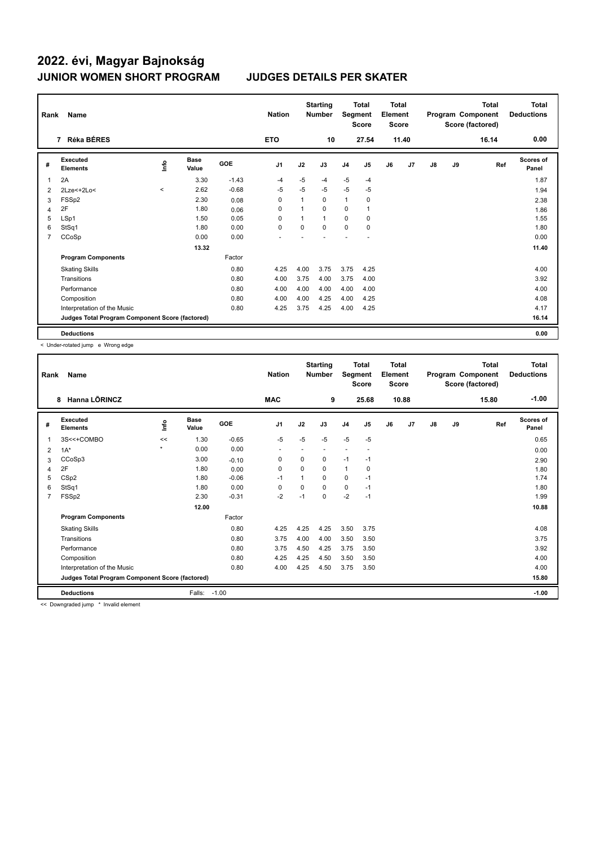| Rank           | Name                                            |              |                      |            | <b>Nation</b>  |          | <b>Starting</b><br><b>Number</b> |                | <b>Total</b><br>Segment<br><b>Score</b> | Total<br>Element<br><b>Score</b> |                |    |    | <b>Total</b><br>Program Component<br>Score (factored) | <b>Total</b><br><b>Deductions</b> |
|----------------|-------------------------------------------------|--------------|----------------------|------------|----------------|----------|----------------------------------|----------------|-----------------------------------------|----------------------------------|----------------|----|----|-------------------------------------------------------|-----------------------------------|
|                | Réka BÉRES<br>$\overline{7}$                    |              |                      |            | <b>ETO</b>     |          | 10                               |                | 27.54                                   |                                  | 11.40          |    |    | 16.14                                                 | 0.00                              |
| #              | <b>Executed</b><br><b>Elements</b>              | ۴٥           | <b>Base</b><br>Value | <b>GOE</b> | J <sub>1</sub> | J2       | J3                               | J <sub>4</sub> | J <sub>5</sub>                          | J6                               | J <sub>7</sub> | J8 | J9 | Ref                                                   | Scores of<br>Panel                |
| 1              | 2A                                              |              | 3.30                 | $-1.43$    | $-4$           | $-5$     | $-4$                             | $-5$           | $-4$                                    |                                  |                |    |    |                                                       | 1.87                              |
| $\overline{2}$ | 2Lze<+2Lo<                                      | $\checkmark$ | 2.62                 | $-0.68$    | $-5$           | $-5$     | $-5$                             | $-5$           | $-5$                                    |                                  |                |    |    |                                                       | 1.94                              |
| 3              | FSSp2                                           |              | 2.30                 | 0.08       | 0              |          | 0                                | $\mathbf{1}$   | 0                                       |                                  |                |    |    |                                                       | 2.38                              |
| 4              | 2F                                              |              | 1.80                 | 0.06       | 0              |          | $\Omega$                         | 0              | 1                                       |                                  |                |    |    |                                                       | 1.86                              |
| 5              | LSp1                                            |              | 1.50                 | 0.05       | 0              |          | 1                                | 0              | 0                                       |                                  |                |    |    |                                                       | 1.55                              |
| 6              | StSq1                                           |              | 1.80                 | 0.00       | $\Omega$       | $\Omega$ | $\Omega$                         | $\Omega$       | $\Omega$                                |                                  |                |    |    |                                                       | 1.80                              |
| 7              | CCoSp                                           |              | 0.00                 | 0.00       |                |          |                                  |                |                                         |                                  |                |    |    |                                                       | 0.00                              |
|                |                                                 |              | 13.32                |            |                |          |                                  |                |                                         |                                  |                |    |    |                                                       | 11.40                             |
|                | <b>Program Components</b>                       |              |                      | Factor     |                |          |                                  |                |                                         |                                  |                |    |    |                                                       |                                   |
|                | <b>Skating Skills</b>                           |              |                      | 0.80       | 4.25           | 4.00     | 3.75                             | 3.75           | 4.25                                    |                                  |                |    |    |                                                       | 4.00                              |
|                | Transitions                                     |              |                      | 0.80       | 4.00           | 3.75     | 4.00                             | 3.75           | 4.00                                    |                                  |                |    |    |                                                       | 3.92                              |
|                | Performance                                     |              |                      | 0.80       | 4.00           | 4.00     | 4.00                             | 4.00           | 4.00                                    |                                  |                |    |    |                                                       | 4.00                              |
|                | Composition                                     |              |                      | 0.80       | 4.00           | 4.00     | 4.25                             | 4.00           | 4.25                                    |                                  |                |    |    |                                                       | 4.08                              |
|                | Interpretation of the Music                     |              |                      | 0.80       | 4.25           | 3.75     | 4.25                             | 4.00           | 4.25                                    |                                  |                |    |    |                                                       | 4.17                              |
|                | Judges Total Program Component Score (factored) |              |                      |            |                |          |                                  |                |                                         |                                  |                |    |    |                                                       | 16.14                             |
|                | <b>Deductions</b>                               |              |                      |            |                |          |                                  |                |                                         |                                  |                |    |    |                                                       | 0.00                              |

< Under-rotated jump e Wrong edge

| Rank | Name                                            |         |                      |         | <b>Nation</b>  |          | <b>Starting</b><br><b>Number</b> | Segment        | <b>Total</b><br><b>Score</b> | <b>Total</b><br>Element<br><b>Score</b> |                |               |    | <b>Total</b><br>Program Component<br>Score (factored) | Total<br><b>Deductions</b> |
|------|-------------------------------------------------|---------|----------------------|---------|----------------|----------|----------------------------------|----------------|------------------------------|-----------------------------------------|----------------|---------------|----|-------------------------------------------------------|----------------------------|
|      | Hanna LÕRINCZ<br>8                              |         |                      |         | <b>MAC</b>     |          | 9                                |                | 25.68                        |                                         | 10.88          |               |    | 15.80                                                 | $-1.00$                    |
| #    | Executed<br><b>Elements</b>                     | lnfo    | <b>Base</b><br>Value | GOE     | J <sub>1</sub> | J2       | J3                               | J <sub>4</sub> | J5                           | J6                                      | J <sub>7</sub> | $\mathsf{J}8$ | J9 | Ref                                                   | <b>Scores of</b><br>Panel  |
| 1    | 3S<<+COMBO                                      | <<      | 1.30                 | $-0.65$ | $-5$           | $-5$     | $-5$                             | $-5$           | $-5$                         |                                         |                |               |    |                                                       | 0.65                       |
| 2    | $1A^*$                                          | $\star$ | 0.00                 | 0.00    | ٠              |          | $\overline{a}$                   | ٠              | $\blacksquare$               |                                         |                |               |    |                                                       | 0.00                       |
| 3    | CCoSp3                                          |         | 3.00                 | $-0.10$ | 0              | 0        | 0                                | $-1$           | $-1$                         |                                         |                |               |    |                                                       | 2.90                       |
| 4    | 2F                                              |         | 1.80                 | 0.00    | $\Omega$       | $\Omega$ | 0                                | $\mathbf{1}$   | 0                            |                                         |                |               |    |                                                       | 1.80                       |
| 5    | CS <sub>p2</sub>                                |         | 1.80                 | $-0.06$ | $-1$           | 1        | 0                                | 0              | $-1$                         |                                         |                |               |    |                                                       | 1.74                       |
| 6    | StSq1                                           |         | 1.80                 | 0.00    | $\Omega$       | $\Omega$ | 0                                | 0              | $-1$                         |                                         |                |               |    |                                                       | 1.80                       |
| 7    | FSSp2                                           |         | 2.30                 | $-0.31$ | $-2$           | $-1$     | 0                                | $-2$           | $-1$                         |                                         |                |               |    |                                                       | 1.99                       |
|      |                                                 |         | 12.00                |         |                |          |                                  |                |                              |                                         |                |               |    |                                                       | 10.88                      |
|      | <b>Program Components</b>                       |         |                      | Factor  |                |          |                                  |                |                              |                                         |                |               |    |                                                       |                            |
|      | <b>Skating Skills</b>                           |         |                      | 0.80    | 4.25           | 4.25     | 4.25                             | 3.50           | 3.75                         |                                         |                |               |    |                                                       | 4.08                       |
|      | Transitions                                     |         |                      | 0.80    | 3.75           | 4.00     | 4.00                             | 3.50           | 3.50                         |                                         |                |               |    |                                                       | 3.75                       |
|      | Performance                                     |         |                      | 0.80    | 3.75           | 4.50     | 4.25                             | 3.75           | 3.50                         |                                         |                |               |    |                                                       | 3.92                       |
|      | Composition                                     |         |                      | 0.80    | 4.25           | 4.25     | 4.50                             | 3.50           | 3.50                         |                                         |                |               |    |                                                       | 4.00                       |
|      | Interpretation of the Music                     |         |                      | 0.80    | 4.00           | 4.25     | 4.50                             | 3.75           | 3.50                         |                                         |                |               |    |                                                       | 4.00                       |
|      | Judges Total Program Component Score (factored) |         |                      |         |                |          |                                  |                |                              |                                         |                |               |    |                                                       | 15.80                      |
|      | <b>Deductions</b>                               |         | Falls:               | $-1.00$ |                |          |                                  |                |                              |                                         |                |               |    |                                                       | $-1.00$                    |

<< Downgraded jump \* Invalid element